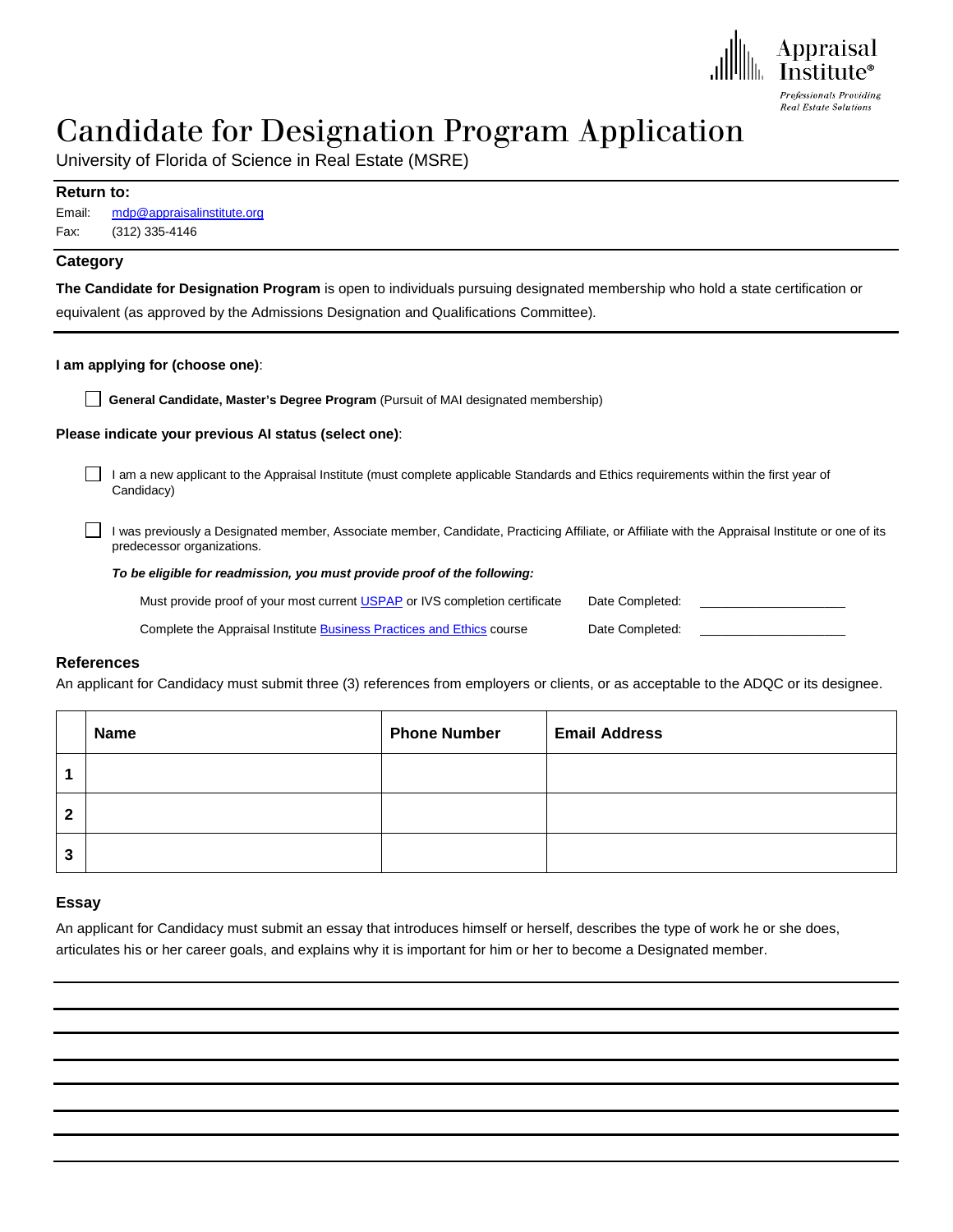

# Candidate for Designation Program Application

University of Florida of Science in Real Estate (MSRE)

#### **Return to:**

| Email: | mdp@appraisalinstitute.org |  |
|--------|----------------------------|--|
| Fax:   | (312) 335-4146             |  |

# **Category**

**The Candidate for Designation Program** is open to individuals pursuing designated membership who hold a state certification or equivalent (as approved by the Admissions Designation and Qualifications Committee).

#### **I am applying for (choose one)**:

**General Candidate, Master's Degree Program** (Pursuit of MAI designated membership)

#### **Please indicate your previous AI status (select one)**:

I am a new applicant to the Appraisal Institute (must complete applicable Standards and Ethics requirements within the first year of Candidacy)

I was previously a Designated member, Associate member, Candidate, Practicing Affiliate, or Affiliate with the Appraisal Institute or one of its predecessor organizations.

#### *To be eligible for readmission, you must provide proof of the following:*

| Must provide proof of your most current USPAP or IVS completion certificate | Date Completed: |  |
|-----------------------------------------------------------------------------|-----------------|--|
| Complete the Appraisal Institute Business Practices and Ethics course       | Date Completed: |  |

#### **References**

An applicant for Candidacy must submit three (3) references from employers or clients, or as acceptable to the ADQC or its designee.

|   | <b>Name</b> | <b>Phone Number</b> | <b>Email Address</b> |
|---|-------------|---------------------|----------------------|
|   |             |                     |                      |
| າ |             |                     |                      |
| 3 |             |                     |                      |

#### **Essay**

An applicant for Candidacy must submit an essay that introduces himself or herself, describes the type of work he or she does, articulates his or her career goals, and explains why it is important for him or her to become a Designated member.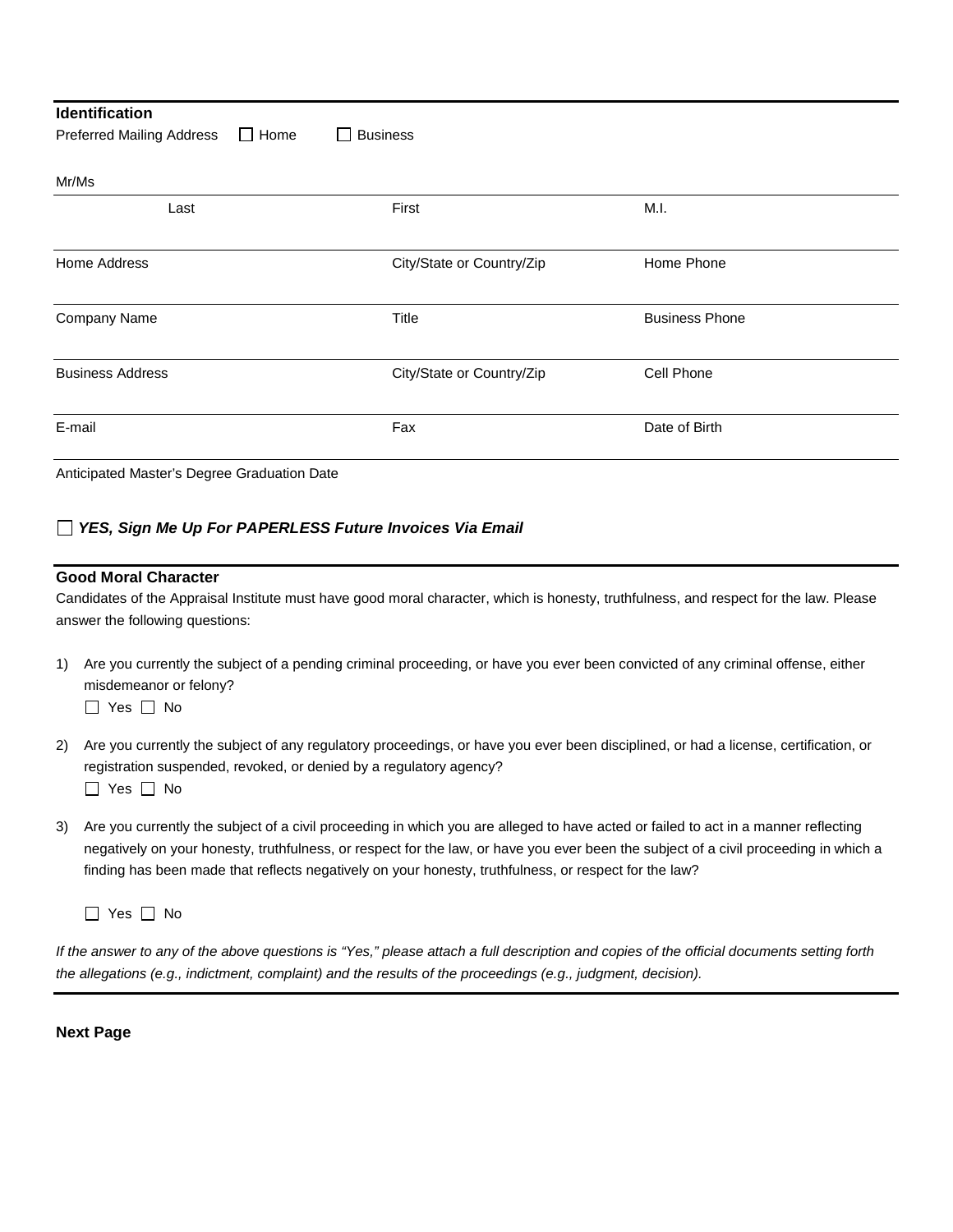| <b>Identification</b>                                                                                                    |                                                |                       |
|--------------------------------------------------------------------------------------------------------------------------|------------------------------------------------|-----------------------|
| <b>Preferred Mailing Address</b>                                                                                         | $\Box$ Home<br><b>Business</b><br>$\mathbf{I}$ |                       |
| Mr/Ms                                                                                                                    |                                                |                       |
| Last                                                                                                                     | First                                          | M.I.                  |
| Home Address                                                                                                             | City/State or Country/Zip                      | Home Phone            |
| Company Name                                                                                                             | Title                                          | <b>Business Phone</b> |
| <b>Business Address</b>                                                                                                  | City/State or Country/Zip                      | Cell Phone            |
| E-mail                                                                                                                   | Fax                                            | Date of Birth         |
| $\mathbf{a}$ and the state of the state $\mathbf{a}$ and $\mathbf{a}$ and $\mathbf{a}$ and $\mathbf{a}$ and $\mathbf{a}$ |                                                |                       |

Anticipated Master's Degree Graduation Date

# *YES, Sign Me Up For PAPERLESS Future Invoices Via Email*

### **Good Moral Character**

Candidates of the Appraisal Institute must have good moral character, which is honesty, truthfulness, and respect for the law. Please answer the following questions:

1) Are you currently the subject of a pending criminal proceeding, or have you ever been convicted of any criminal offense, either misdemeanor or felony?

 $\Box$  Yes  $\Box$  No

- 2) Are you currently the subject of any regulatory proceedings, or have you ever been disciplined, or had a license, certification, or registration suspended, revoked, or denied by a regulatory agency?  $\Box$  Yes  $\Box$  No
- 3) Are you currently the subject of a civil proceeding in which you are alleged to have acted or failed to act in a manner reflecting negatively on your honesty, truthfulness, or respect for the law, or have you ever been the subject of a civil proceeding in which a finding has been made that reflects negatively on your honesty, truthfulness, or respect for the law?

 $\Box$  Yes  $\Box$  No

*If the answer to any of the above questions is "Yes," please attach a full description and copies of the official documents setting forth the allegations (e.g., indictment, complaint) and the results of the proceedings (e.g., judgment, decision).*

**Next Page**